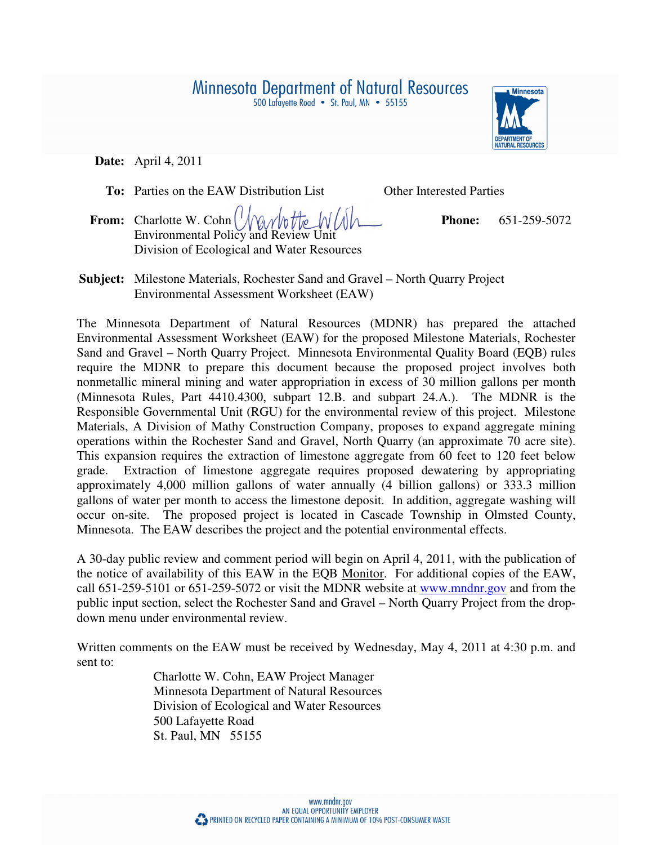500 Lafayette Road • St. Paul, MN • 55155



 **Date:** April 4, 2011

**To:** Parties on the EAW Distribution List Other Interested Parties

- **From:** Charlotte W. Cohn **Phone:** 651-259-5072 Environmental Policy and Review Unit Division of Ecological and Water Resources
- **Subject:** Milestone Materials, Rochester Sand and Gravel North Quarry Project Environmental Assessment Worksheet (EAW)

The Minnesota Department of Natural Resources (MDNR) has prepared the attached Environmental Assessment Worksheet (EAW) for the proposed Milestone Materials, Rochester Sand and Gravel – North Quarry Project. Minnesota Environmental Quality Board (EQB) rules require the MDNR to prepare this document because the proposed project involves both nonmetallic mineral mining and water appropriation in excess of 30 million gallons per month (Minnesota Rules, Part 4410.4300, subpart 12.B. and subpart 24.A.). The MDNR is the Responsible Governmental Unit (RGU) for the environmental review of this project. Milestone Materials, A Division of Mathy Construction Company, proposes to expand aggregate mining operations within the Rochester Sand and Gravel, North Quarry (an approximate 70 acre site). This expansion requires the extraction of limestone aggregate from 60 feet to 120 feet below grade. Extraction of limestone aggregate requires proposed dewatering by appropriating approximately 4,000 million gallons of water annually (4 billion gallons) or 333.3 million gallons of water per month to access the limestone deposit. In addition, aggregate washing will occur on-site. The proposed project is located in Cascade Township in Olmsted County, Minnesota. The EAW describes the project and the potential environmental effects.

A 30-day public review and comment period will begin on April 4, 2011, with the publication of the notice of availability of this EAW in the EQB Monitor. For additional copies of the EAW, call 651-259-5101 or 651-259-5072 or visit the MDNR website at www.mndnr.gov and from the public input section, select the Rochester Sand and Gravel – North Quarry Project from the dropdown menu under environmental review.

Written comments on the EAW must be received by Wednesday, May 4, 2011 at 4:30 p.m. and sent to:

> Charlotte W. Cohn, EAW Project Manager Minnesota Department of Natural Resources Division of Ecological and Water Resources 500 Lafayette Road St. Paul, MN 55155